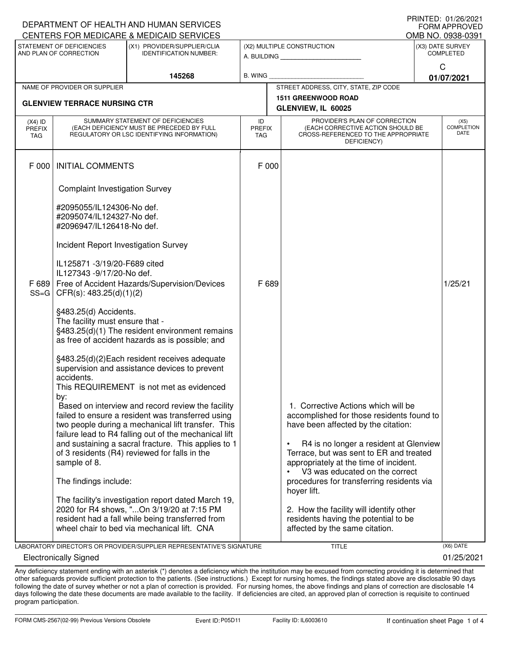| DEPARTMENT OF HEALTH AND HUMAN SERVICES<br><b>FORM APPROVED</b><br>CENTERS FOR MEDICARE & MEDICAID SERVICES<br>OMB NO. 0938-0391 |                                                                                         |                                                       |                                                                                                         |                                                                                   |                                      |  |  |  |
|----------------------------------------------------------------------------------------------------------------------------------|-----------------------------------------------------------------------------------------|-------------------------------------------------------|---------------------------------------------------------------------------------------------------------|-----------------------------------------------------------------------------------|--------------------------------------|--|--|--|
| STATEMENT OF DEFICIENCIES<br>(X1) PROVIDER/SUPPLIER/CLIA                                                                         |                                                                                         |                                                       |                                                                                                         | (X2) MULTIPLE CONSTRUCTION                                                        |                                      |  |  |  |
| AND PLAN OF CORRECTION                                                                                                           |                                                                                         | <b>IDENTIFICATION NUMBER:</b>                         |                                                                                                         | A. BUILDING AND AN INCOME.                                                        | (X3) DATE SURVEY<br><b>COMPLETED</b> |  |  |  |
|                                                                                                                                  |                                                                                         |                                                       |                                                                                                         |                                                                                   | C                                    |  |  |  |
|                                                                                                                                  |                                                                                         | 145268                                                | B. WING                                                                                                 |                                                                                   | 01/07/2021                           |  |  |  |
|                                                                                                                                  | NAME OF PROVIDER OR SUPPLIER                                                            |                                                       |                                                                                                         | STREET ADDRESS, CITY, STATE, ZIP CODE                                             |                                      |  |  |  |
|                                                                                                                                  |                                                                                         |                                                       |                                                                                                         | <b>1511 GREENWOOD ROAD</b>                                                        |                                      |  |  |  |
|                                                                                                                                  | <b>GLENVIEW TERRACE NURSING CTR</b>                                                     |                                                       |                                                                                                         | GLENVIEW, IL 60025                                                                |                                      |  |  |  |
| $(X4)$ ID                                                                                                                        | SUMMARY STATEMENT OF DEFICIENCIES                                                       |                                                       | ID                                                                                                      | PROVIDER'S PLAN OF CORRECTION                                                     | (X5)                                 |  |  |  |
| <b>PREFIX</b><br>TAG                                                                                                             | (EACH DEFICIENCY MUST BE PRECEDED BY FULL<br>REGULATORY OR LSC IDENTIFYING INFORMATION) |                                                       | (EACH CORRECTIVE ACTION SHOULD BE<br><b>PREFIX</b><br>CROSS-REFERENCED TO THE APPROPRIATE<br><b>TAG</b> |                                                                                   | <b>COMPLETION</b><br>DATE            |  |  |  |
|                                                                                                                                  |                                                                                         |                                                       |                                                                                                         | DEFICIENCY)                                                                       |                                      |  |  |  |
|                                                                                                                                  |                                                                                         |                                                       |                                                                                                         |                                                                                   |                                      |  |  |  |
| F 000                                                                                                                            | <b>INITIAL COMMENTS</b>                                                                 |                                                       | F 000                                                                                                   |                                                                                   |                                      |  |  |  |
|                                                                                                                                  |                                                                                         |                                                       |                                                                                                         |                                                                                   |                                      |  |  |  |
|                                                                                                                                  | <b>Complaint Investigation Survey</b>                                                   |                                                       |                                                                                                         |                                                                                   |                                      |  |  |  |
|                                                                                                                                  |                                                                                         |                                                       |                                                                                                         |                                                                                   |                                      |  |  |  |
|                                                                                                                                  | #2095055/IL124306-No def.                                                               |                                                       |                                                                                                         |                                                                                   |                                      |  |  |  |
|                                                                                                                                  | #2095074/IL124327-No def.<br>#2096947/IL126418-No def.                                  |                                                       |                                                                                                         |                                                                                   |                                      |  |  |  |
|                                                                                                                                  |                                                                                         |                                                       |                                                                                                         |                                                                                   |                                      |  |  |  |
|                                                                                                                                  | Incident Report Investigation Survey                                                    |                                                       |                                                                                                         |                                                                                   |                                      |  |  |  |
|                                                                                                                                  |                                                                                         |                                                       |                                                                                                         |                                                                                   |                                      |  |  |  |
|                                                                                                                                  | IL125871 -3/19/20-F689 cited<br>IL127343 -9/17/20-No def.                               |                                                       |                                                                                                         |                                                                                   |                                      |  |  |  |
| F 689                                                                                                                            | Free of Accident Hazards/Supervision/Devices                                            |                                                       | F 689                                                                                                   |                                                                                   | 1/25/21                              |  |  |  |
| $SS = G$                                                                                                                         | CFR(s): 483.25(d)(1)(2)                                                                 |                                                       |                                                                                                         |                                                                                   |                                      |  |  |  |
|                                                                                                                                  |                                                                                         |                                                       |                                                                                                         |                                                                                   |                                      |  |  |  |
|                                                                                                                                  | §483.25(d) Accidents.                                                                   |                                                       |                                                                                                         |                                                                                   |                                      |  |  |  |
|                                                                                                                                  | The facility must ensure that -<br>§483.25(d)(1) The resident environment remains       |                                                       |                                                                                                         |                                                                                   |                                      |  |  |  |
|                                                                                                                                  | as free of accident hazards as is possible; and                                         |                                                       |                                                                                                         |                                                                                   |                                      |  |  |  |
|                                                                                                                                  |                                                                                         |                                                       |                                                                                                         |                                                                                   |                                      |  |  |  |
|                                                                                                                                  | §483.25(d)(2)Each resident receives adequate                                            |                                                       |                                                                                                         |                                                                                   |                                      |  |  |  |
|                                                                                                                                  | supervision and assistance devices to prevent                                           |                                                       |                                                                                                         |                                                                                   |                                      |  |  |  |
|                                                                                                                                  | accidents.                                                                              |                                                       |                                                                                                         |                                                                                   |                                      |  |  |  |
|                                                                                                                                  |                                                                                         | This REQUIREMENT is not met as evidenced              |                                                                                                         |                                                                                   |                                      |  |  |  |
|                                                                                                                                  | by:                                                                                     | Based on interview and record review the facility     |                                                                                                         | 1. Corrective Actions which will be                                               |                                      |  |  |  |
|                                                                                                                                  |                                                                                         | failed to ensure a resident was transferred using     |                                                                                                         | accomplished for those residents found to                                         |                                      |  |  |  |
|                                                                                                                                  |                                                                                         | two people during a mechanical lift transfer. This    |                                                                                                         | have been affected by the citation:                                               |                                      |  |  |  |
|                                                                                                                                  |                                                                                         | failure lead to R4 falling out of the mechanical lift |                                                                                                         |                                                                                   |                                      |  |  |  |
|                                                                                                                                  |                                                                                         | and sustaining a sacral fracture. This applies to 1   |                                                                                                         | R4 is no longer a resident at Glenview<br>$\bullet$                               |                                      |  |  |  |
|                                                                                                                                  |                                                                                         | of 3 residents (R4) reviewed for falls in the         |                                                                                                         | Terrace, but was sent to ER and treated<br>appropriately at the time of incident. |                                      |  |  |  |
|                                                                                                                                  | sample of 8.                                                                            |                                                       |                                                                                                         | V3 was educated on the correct                                                    |                                      |  |  |  |
|                                                                                                                                  | The findings include:                                                                   |                                                       |                                                                                                         | procedures for transferring residents via                                         |                                      |  |  |  |
|                                                                                                                                  |                                                                                         |                                                       |                                                                                                         | hoyer lift.                                                                       |                                      |  |  |  |
|                                                                                                                                  |                                                                                         | The facility's investigation report dated March 19,   |                                                                                                         |                                                                                   |                                      |  |  |  |
|                                                                                                                                  |                                                                                         | 2020 for R4 shows, "On 3/19/20 at 7:15 PM             |                                                                                                         | 2. How the facility will identify other                                           |                                      |  |  |  |
|                                                                                                                                  |                                                                                         | resident had a fall while being transferred from      |                                                                                                         | residents having the potential to be                                              |                                      |  |  |  |
|                                                                                                                                  |                                                                                         | wheel chair to bed via mechanical lift. CNA           |                                                                                                         | affected by the same citation.                                                    |                                      |  |  |  |
| LABORATORY DIRECTOR'S OR PROVIDER/SUPPLIER REPRESENTATIVE'S SIGNATURE<br>TITLE<br>(X6) DATE                                      |                                                                                         |                                                       |                                                                                                         |                                                                                   |                                      |  |  |  |

Electronically Signed 01/25/2021

PRINTED: 01/26/2021

Any deficiency statement ending with an asterisk (\*) denotes a deficiency which the institution may be excused from correcting providing it is determined that other safeguards provide sufficient protection to the patients. (See instructions.) Except for nursing homes, the findings stated above are disclosable 90 days following the date of survey whether or not a plan of correction is provided. For nursing homes, the above findings and plans of correction are disclosable 14 days following the date these documents are made available to the facility. If deficiencies are cited, an approved plan of correction is requisite to continued program participation.

DEPARTMENT OF HEALTH AND HUMAN SERVICES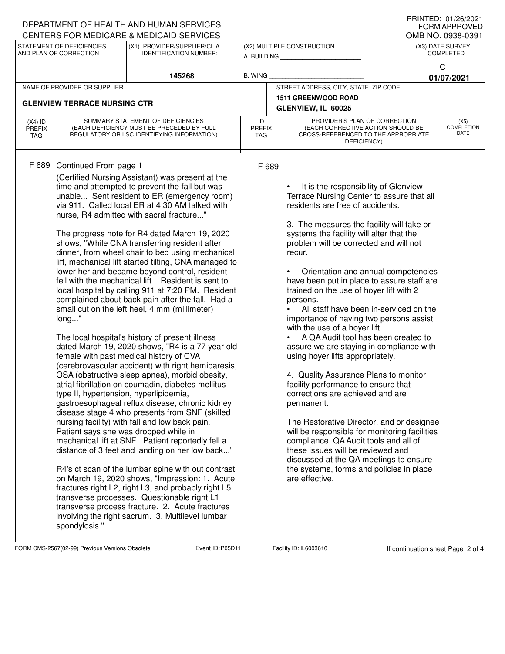|                                                                                    |                                                                                                                                    | DEPARTMENT OF HEALTH AND HUMAN SERVICES                                                                                                                                                                                                                                                                                                                                                                                                                                                                                                                                                                                                                                                                                                                                                                                                                                                                                                                                                                                                                                                                                                                                                                                                                                                                                                                                                                                                                                                                                                                                                                                              |                                                              |  |                                                                                                                                                                                                                                                                                                                                                                                                                                                                                                                                                                                                                                                                                                                                                                                                                                                                                                                                                                                                                                                                                               |                                                     | <b>FORM APPROVED</b>              |  |
|------------------------------------------------------------------------------------|------------------------------------------------------------------------------------------------------------------------------------|--------------------------------------------------------------------------------------------------------------------------------------------------------------------------------------------------------------------------------------------------------------------------------------------------------------------------------------------------------------------------------------------------------------------------------------------------------------------------------------------------------------------------------------------------------------------------------------------------------------------------------------------------------------------------------------------------------------------------------------------------------------------------------------------------------------------------------------------------------------------------------------------------------------------------------------------------------------------------------------------------------------------------------------------------------------------------------------------------------------------------------------------------------------------------------------------------------------------------------------------------------------------------------------------------------------------------------------------------------------------------------------------------------------------------------------------------------------------------------------------------------------------------------------------------------------------------------------------------------------------------------------|--------------------------------------------------------------|--|-----------------------------------------------------------------------------------------------------------------------------------------------------------------------------------------------------------------------------------------------------------------------------------------------------------------------------------------------------------------------------------------------------------------------------------------------------------------------------------------------------------------------------------------------------------------------------------------------------------------------------------------------------------------------------------------------------------------------------------------------------------------------------------------------------------------------------------------------------------------------------------------------------------------------------------------------------------------------------------------------------------------------------------------------------------------------------------------------|-----------------------------------------------------|-----------------------------------|--|
| CENTERS FOR MEDICARE & MEDICAID SERVICES                                           |                                                                                                                                    |                                                                                                                                                                                                                                                                                                                                                                                                                                                                                                                                                                                                                                                                                                                                                                                                                                                                                                                                                                                                                                                                                                                                                                                                                                                                                                                                                                                                                                                                                                                                                                                                                                      |                                                              |  |                                                                                                                                                                                                                                                                                                                                                                                                                                                                                                                                                                                                                                                                                                                                                                                                                                                                                                                                                                                                                                                                                               |                                                     | OMB NO. 0938-0391                 |  |
| STATEMENT OF DEFICIENCIES<br>(X1) PROVIDER/SUPPLIER/CLIA<br>AND PLAN OF CORRECTION |                                                                                                                                    | <b>IDENTIFICATION NUMBER:</b>                                                                                                                                                                                                                                                                                                                                                                                                                                                                                                                                                                                                                                                                                                                                                                                                                                                                                                                                                                                                                                                                                                                                                                                                                                                                                                                                                                                                                                                                                                                                                                                                        | (X2) MULTIPLE CONSTRUCTION<br>A. BUILDING <b>A.</b> BUILDING |  |                                                                                                                                                                                                                                                                                                                                                                                                                                                                                                                                                                                                                                                                                                                                                                                                                                                                                                                                                                                                                                                                                               | (X3) DATE SURVEY<br><b>COMPLETED</b><br>$\mathsf C$ |                                   |  |
|                                                                                    |                                                                                                                                    | 145268                                                                                                                                                                                                                                                                                                                                                                                                                                                                                                                                                                                                                                                                                                                                                                                                                                                                                                                                                                                                                                                                                                                                                                                                                                                                                                                                                                                                                                                                                                                                                                                                                               | <b>B. WING</b>                                               |  |                                                                                                                                                                                                                                                                                                                                                                                                                                                                                                                                                                                                                                                                                                                                                                                                                                                                                                                                                                                                                                                                                               |                                                     | 01/07/2021                        |  |
|                                                                                    | NAME OF PROVIDER OR SUPPLIER                                                                                                       |                                                                                                                                                                                                                                                                                                                                                                                                                                                                                                                                                                                                                                                                                                                                                                                                                                                                                                                                                                                                                                                                                                                                                                                                                                                                                                                                                                                                                                                                                                                                                                                                                                      |                                                              |  | STREET ADDRESS, CITY, STATE, ZIP CODE                                                                                                                                                                                                                                                                                                                                                                                                                                                                                                                                                                                                                                                                                                                                                                                                                                                                                                                                                                                                                                                         |                                                     |                                   |  |
| <b>GLENVIEW TERRACE NURSING CTR</b>                                                |                                                                                                                                    |                                                                                                                                                                                                                                                                                                                                                                                                                                                                                                                                                                                                                                                                                                                                                                                                                                                                                                                                                                                                                                                                                                                                                                                                                                                                                                                                                                                                                                                                                                                                                                                                                                      | <b>1511 GREENWOOD ROAD</b><br>GLENVIEW, IL 60025             |  |                                                                                                                                                                                                                                                                                                                                                                                                                                                                                                                                                                                                                                                                                                                                                                                                                                                                                                                                                                                                                                                                                               |                                                     |                                   |  |
| $(X4)$ ID<br>PREFIX<br>TAG                                                         |                                                                                                                                    | SUMMARY STATEMENT OF DEFICIENCIES<br>(EACH DEFICIENCY MUST BE PRECEDED BY FULL<br>REGULATORY OR LSC IDENTIFYING INFORMATION)                                                                                                                                                                                                                                                                                                                                                                                                                                                                                                                                                                                                                                                                                                                                                                                                                                                                                                                                                                                                                                                                                                                                                                                                                                                                                                                                                                                                                                                                                                         | ID<br><b>PREFIX</b><br>TAG.                                  |  | PROVIDER'S PLAN OF CORRECTION<br>(EACH CORRECTIVE ACTION SHOULD BE<br>CROSS-REFERENCED TO THE APPROPRIATE<br>DEFICIENCY)                                                                                                                                                                                                                                                                                                                                                                                                                                                                                                                                                                                                                                                                                                                                                                                                                                                                                                                                                                      |                                                     | (X5)<br><b>COMPLETION</b><br>DATE |  |
| F 689                                                                              | Continued From page 1<br>long"<br>type II, hypertension, hyperlipidemia,<br>Patient says she was dropped while in<br>spondylosis." | (Certified Nursing Assistant) was present at the<br>time and attempted to prevent the fall but was<br>unable Sent resident to ER (emergency room)<br>via 911. Called local ER at 4:30 AM talked with<br>nurse, R4 admitted with sacral fracture"<br>The progress note for R4 dated March 19, 2020<br>shows, "While CNA transferring resident after<br>dinner, from wheel chair to bed using mechanical<br>lift, mechanical lift started tilting, CNA managed to<br>lower her and became beyond control, resident<br>fell with the mechanical lift Resident is sent to<br>local hospital by calling 911 at 7:20 PM. Resident<br>complained about back pain after the fall. Had a<br>small cut on the left heel, 4 mm (millimeter)<br>The local hospital's history of present illness<br>dated March 19, 2020 shows, "R4 is a 77 year old<br>female with past medical history of CVA<br>(cerebrovascular accident) with right hemiparesis,<br>OSA (obstructive sleep apnea), morbid obesity,<br>atrial fibrillation on coumadin, diabetes mellitus<br>gastroesophageal reflux disease, chronic kidney<br>disease stage 4 who presents from SNF (skilled<br>nursing facility) with fall and low back pain.<br>mechanical lift at SNF. Patient reportedly fell a<br>distance of 3 feet and landing on her low back"<br>R4's ct scan of the lumbar spine with out contrast<br>on March 19, 2020 shows, "Impression: 1. Acute<br>fractures right L2, right L3, and probably right L5<br>transverse processes. Questionable right L1<br>transverse process fracture. 2. Acute fractures<br>involving the right sacrum. 3. Multilevel lumbar | F 689                                                        |  | It is the responsibility of Glenview<br>Terrace Nursing Center to assure that all<br>residents are free of accidents.<br>3. The measures the facility will take or<br>systems the facility will alter that the<br>problem will be corrected and will not<br>recur.<br>Orientation and annual competencies<br>have been put in place to assure staff are<br>trained on the use of hoyer lift with 2<br>persons.<br>All staff have been in-serviced on the<br>$\bullet$<br>importance of having two persons assist<br>with the use of a hoyer lift<br>A QA Audit tool has been created to<br>assure we are staying in compliance with<br>using hoyer lifts appropriately.<br>4. Quality Assurance Plans to monitor<br>facility performance to ensure that<br>corrections are achieved and are<br>permanent.<br>The Restorative Director, and or designee<br>will be responsible for monitoring facilities<br>compliance. QA Audit tools and all of<br>these issues will be reviewed and<br>discussed at the QA meetings to ensure<br>the systems, forms and policies in place<br>are effective. |                                                     |                                   |  |

FORM CMS-2567(02-99) Previous Versions Obsolete **Page 2 of 4** Event ID: P05D11 Facility ID: IL6003610 If continuation sheet Page 2 of 4

DEPARTMENT OF HEALTH AND HUMAN SERVICES

PRINTED: 01/26/2021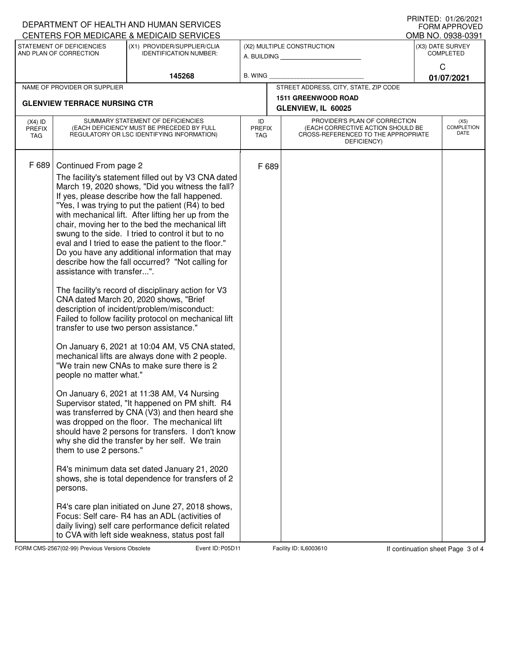| DEPARTMENT OF HEALTH AND HUMAN SERVICES                                                              |                                                                                                  | PRINIED. 01/20/2021<br><b>FORM APPROVED</b>                                                            |                     |                            |                                                                    |                  |                                       |  |
|------------------------------------------------------------------------------------------------------|--------------------------------------------------------------------------------------------------|--------------------------------------------------------------------------------------------------------|---------------------|----------------------------|--------------------------------------------------------------------|------------------|---------------------------------------|--|
| CENTERS FOR MEDICARE & MEDICAID SERVICES<br>STATEMENT OF DEFICIENCIES<br>(X1) PROVIDER/SUPPLIER/CLIA |                                                                                                  |                                                                                                        |                     | (X2) MULTIPLE CONSTRUCTION |                                                                    |                  | OMB NO. 0938-0391<br>(X3) DATE SURVEY |  |
| AND PLAN OF CORRECTION                                                                               |                                                                                                  | <b>IDENTIFICATION NUMBER:</b>                                                                          |                     |                            |                                                                    | <b>COMPLETED</b> |                                       |  |
|                                                                                                      |                                                                                                  |                                                                                                        |                     |                            |                                                                    |                  | C                                     |  |
|                                                                                                      |                                                                                                  | 145268                                                                                                 | <b>B. WING</b>      |                            |                                                                    |                  | 01/07/2021                            |  |
|                                                                                                      | NAME OF PROVIDER OR SUPPLIER                                                                     |                                                                                                        |                     |                            | STREET ADDRESS, CITY, STATE, ZIP CODE                              |                  |                                       |  |
|                                                                                                      | <b>GLENVIEW TERRACE NURSING CTR</b>                                                              |                                                                                                        |                     | <b>1511 GREENWOOD ROAD</b> |                                                                    |                  |                                       |  |
| SUMMARY STATEMENT OF DEFICIENCIES                                                                    |                                                                                                  |                                                                                                        |                     |                            | GLENVIEW, IL 60025                                                 |                  |                                       |  |
| $(X4)$ ID<br><b>PREFIX</b>                                                                           | (EACH DEFICIENCY MUST BE PRECEDED BY FULL                                                        |                                                                                                        | ID<br><b>PREFIX</b> |                            | PROVIDER'S PLAN OF CORRECTION<br>(EACH CORRECTIVE ACTION SHOULD BE |                  | (X5)<br><b>COMPLETION</b>             |  |
| <b>TAG</b>                                                                                           |                                                                                                  | REGULATORY OR LSC IDENTIFYING INFORMATION)                                                             | <b>TAG</b>          |                            | CROSS-REFERENCED TO THE APPROPRIATE<br>DEFICIENCY)                 |                  | DATE                                  |  |
|                                                                                                      |                                                                                                  |                                                                                                        |                     |                            |                                                                    |                  |                                       |  |
| F 689                                                                                                | Continued From page 2                                                                            |                                                                                                        | F 689               |                            |                                                                    |                  |                                       |  |
|                                                                                                      |                                                                                                  | The facility's statement filled out by V3 CNA dated                                                    |                     |                            |                                                                    |                  |                                       |  |
|                                                                                                      |                                                                                                  | March 19, 2020 shows, "Did you witness the fall?                                                       |                     |                            |                                                                    |                  |                                       |  |
|                                                                                                      |                                                                                                  | If yes, please describe how the fall happened.                                                         |                     |                            |                                                                    |                  |                                       |  |
|                                                                                                      |                                                                                                  | "Yes, I was trying to put the patient (R4) to bed                                                      |                     |                            |                                                                    |                  |                                       |  |
|                                                                                                      |                                                                                                  | with mechanical lift. After lifting her up from the                                                    |                     |                            |                                                                    |                  |                                       |  |
|                                                                                                      |                                                                                                  | chair, moving her to the bed the mechanical lift<br>swung to the side. I tried to control it but to no |                     |                            |                                                                    |                  |                                       |  |
|                                                                                                      |                                                                                                  | eval and I tried to ease the patient to the floor."                                                    |                     |                            |                                                                    |                  |                                       |  |
|                                                                                                      |                                                                                                  | Do you have any additional information that may                                                        |                     |                            |                                                                    |                  |                                       |  |
|                                                                                                      |                                                                                                  | describe how the fall occurred? "Not calling for                                                       |                     |                            |                                                                    |                  |                                       |  |
|                                                                                                      | assistance with transfer".                                                                       |                                                                                                        |                     |                            |                                                                    |                  |                                       |  |
|                                                                                                      | The facility's record of disciplinary action for V3                                              |                                                                                                        |                     |                            |                                                                    |                  |                                       |  |
|                                                                                                      |                                                                                                  | CNA dated March 20, 2020 shows, "Brief                                                                 |                     |                            |                                                                    |                  |                                       |  |
|                                                                                                      | description of incident/problem/misconduct:                                                      |                                                                                                        |                     |                            |                                                                    |                  |                                       |  |
|                                                                                                      | Failed to follow facility protocol on mechanical lift<br>transfer to use two person assistance." |                                                                                                        |                     |                            |                                                                    |                  |                                       |  |
|                                                                                                      |                                                                                                  |                                                                                                        |                     |                            |                                                                    |                  |                                       |  |
|                                                                                                      | On January 6, 2021 at 10:04 AM, V5 CNA stated,                                                   |                                                                                                        |                     |                            |                                                                    |                  |                                       |  |
|                                                                                                      | mechanical lifts are always done with 2 people.                                                  |                                                                                                        |                     |                            |                                                                    |                  |                                       |  |
|                                                                                                      |                                                                                                  | "We train new CNAs to make sure there is 2                                                             |                     |                            |                                                                    |                  |                                       |  |
|                                                                                                      | people no matter what."                                                                          |                                                                                                        |                     |                            |                                                                    |                  |                                       |  |
|                                                                                                      |                                                                                                  | On January 6, 2021 at 11:38 AM, V4 Nursing                                                             |                     |                            |                                                                    |                  |                                       |  |
|                                                                                                      |                                                                                                  | Supervisor stated, "It happened on PM shift. R4                                                        |                     |                            |                                                                    |                  |                                       |  |
|                                                                                                      |                                                                                                  | was transferred by CNA (V3) and then heard she                                                         |                     |                            |                                                                    |                  |                                       |  |
|                                                                                                      |                                                                                                  | was dropped on the floor. The mechanical lift                                                          |                     |                            |                                                                    |                  |                                       |  |
|                                                                                                      |                                                                                                  | should have 2 persons for transfers. I don't know<br>why she did the transfer by her self. We train    |                     |                            |                                                                    |                  |                                       |  |
|                                                                                                      | them to use 2 persons."                                                                          |                                                                                                        |                     |                            |                                                                    |                  |                                       |  |
|                                                                                                      |                                                                                                  |                                                                                                        |                     |                            |                                                                    |                  |                                       |  |
|                                                                                                      |                                                                                                  | R4's minimum data set dated January 21, 2020                                                           |                     |                            |                                                                    |                  |                                       |  |
|                                                                                                      | persons.                                                                                         | shows, she is total dependence for transfers of 2                                                      |                     |                            |                                                                    |                  |                                       |  |
|                                                                                                      |                                                                                                  |                                                                                                        |                     |                            |                                                                    |                  |                                       |  |
|                                                                                                      |                                                                                                  | R4's care plan initiated on June 27, 2018 shows,                                                       |                     |                            |                                                                    |                  |                                       |  |
|                                                                                                      |                                                                                                  | Focus: Self care- R4 has an ADL (activities of                                                         |                     |                            |                                                                    |                  |                                       |  |
|                                                                                                      |                                                                                                  | daily living) self care performance deficit related                                                    |                     |                            |                                                                    |                  |                                       |  |
|                                                                                                      |                                                                                                  | to CVA with left side weakness, status post fall                                                       |                     |                            |                                                                    |                  |                                       |  |

FORM CMS-2567(02-99) Previous Versions Obsolete **Page 10: POSD Event ID: POSD 11** Facility ID: IL6003610 If continuation sheet Page 1 of 4

PRINTED: 01/26/2021